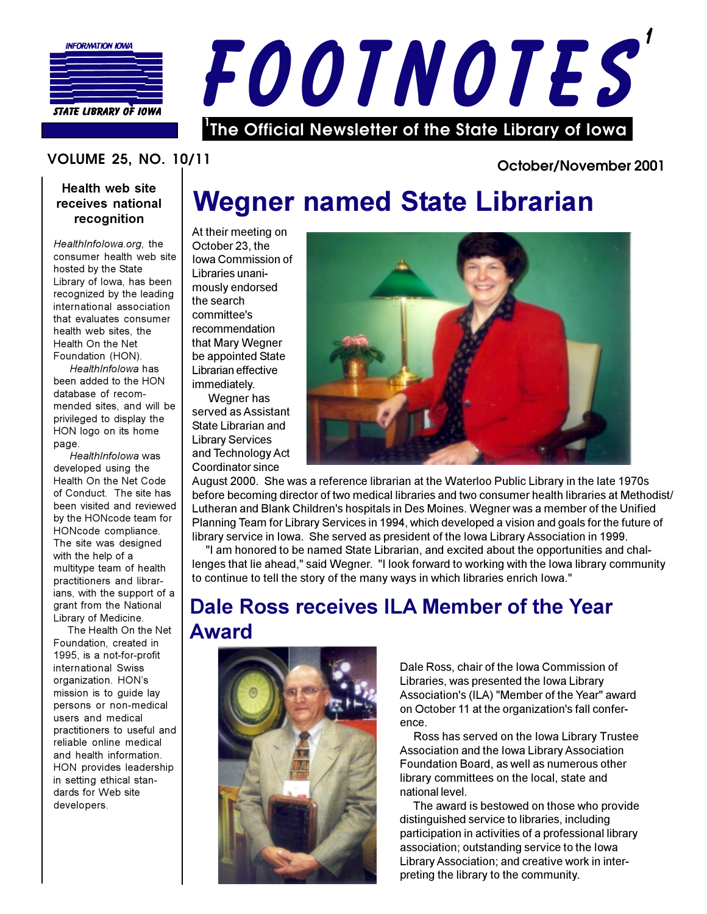



## **VOLUME 25, NO. 10/11**

## Health web site receives national recognition

HealthInfolowa.org. the consumer health web site hosted by the State Library of Iowa, has been recognized by the leading international association that evaluates consumer health web sites, the Health On the Net Foundation (HON).

HealthInfolowa has been added to the HON database of recommended sites, and will be privileged to display the HON logo on its home page.

HealthInfolowa was developed using the Health On the Net Code of Conduct. The site has been visited and reviewed by the HONcode team for HONcode compliance. The site was designed with the help of a multitype team of health practitioners and librarians, with the support of a grant from the National Library of Medicine.

The Health On the Net Foundation, created in 1995, is a not-for-profit international Swiss organization. HON's mission is to guide lay persons or non-medical users and medical practitioners to useful and reliable online medical and health information. HON provides leadership in setting ethical standards for Web site developers.

# **Wegner named State Librarian**

At their meeting on October 23, the Iowa Commission of Libraries unanimously endorsed the search committee's recommendation that Mary Wegner be appointed State Librarian effective immediately.

Wegner has served as Assistant State Librarian and **Library Services** and Technology Act Coordinator since



October/November 2001

August 2000. She was a reference librarian at the Waterloo Public Library in the late 1970s before becoming director of two medical libraries and two consumer health libraries at Methodist/ Lutheran and Blank Children's hospitals in Des Moines. Wegner was a member of the Unified Planning Team for Library Services in 1994, which developed a vision and goals for the future of library service in Iowa. She served as president of the Iowa Library Association in 1999.

"I am honored to be named State Librarian, and excited about the opportunities and challenges that lie ahead," said Wegner. "I look forward to working with the lowa library community to continue to tell the story of the many ways in which libraries enrich lowa."

## Dale Ross receives ILA Member of the Year **Award**



Dale Ross, chair of the Iowa Commission of Libraries, was presented the Iowa Library Association's (ILA) "Member of the Year" award on October 11 at the organization's fall conference.

Ross has served on the lowa Library Trustee Association and the Iowa Library Association Foundation Board, as well as numerous other library committees on the local, state and national level.

The award is bestowed on those who provide distinguished service to libraries, including participation in activities of a professional library association; outstanding service to the lowa Library Association; and creative work in interpreting the library to the community.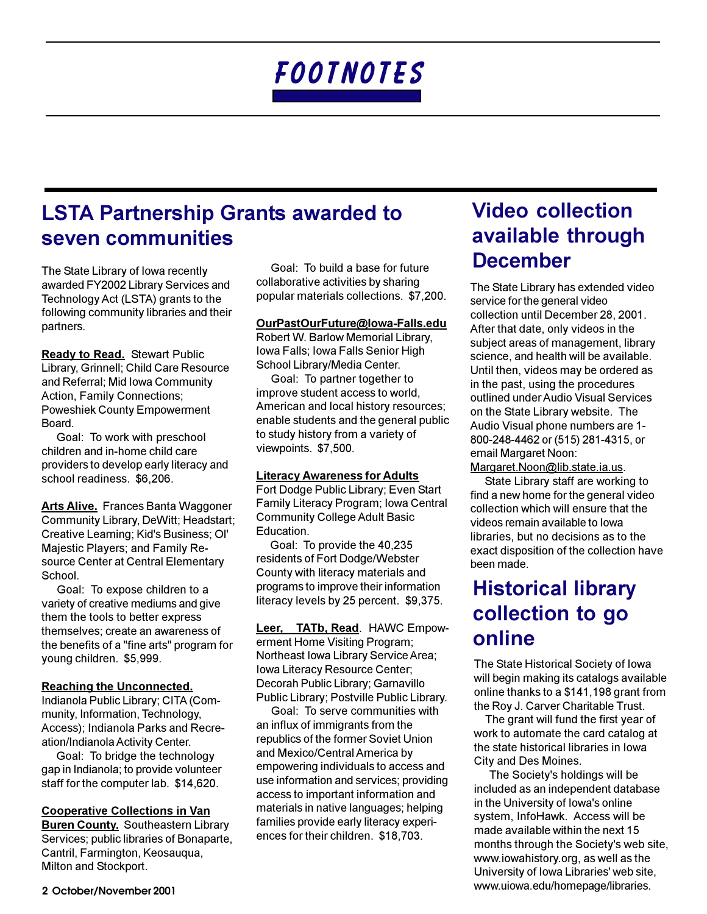# **LSTA Partnership Grants awarded to** seven communities

The State Library of lowa recently awarded FY2002 Library Services and Technology Act (LSTA) grants to the following community libraries and their partners.

**Ready to Read.** Stewart Public Library, Grinnell; Child Care Resource and Referral; Mid Iowa Community **Action. Family Connections: Poweshiek County Empowerment** Board.

Goal: To work with preschool children and in-home child care providers to develop early literacy and school readiness. \$6,206.

**Arts Alive.** Frances Banta Waggoner Community Library, DeWitt; Headstart; Creative Learning; Kid's Business; OI' **Majestic Players: and Family Re**source Center at Central Elementary School.

Goal: To expose children to a variety of creative mediums and give them the tools to better express themselves; create an awareness of the benefits of a "fine arts" program for young children. \$5,999.

### **Reaching the Unconnected.**

Indianola Public Library; CITA (Community, Information, Technology, Access): Indianola Parks and Recreation/Indianola Activity Center.

Goal: To bridge the technology gap in Indianola; to provide volunteer staff for the computer lab. \$14,620.

### **Cooperative Collections in Van**

**Buren County.** Southeastern Library Services; public libraries of Bonaparte, Cantril, Farmington, Keosauqua, Milton and Stockport.

Goal: To build a base for future collaborative activities by sharing popular materials collections. \$7,200.

## OurPastOurFuture@lowa-Falls.edu

Robert W. Barlow Memorial Library, Iowa Falls: Iowa Falls Senior High School Library/Media Center.

Goal: To partner together to improve student access to world, American and local history resources; enable students and the general public to study history from a variety of viewpoints. \$7,500.

## **Literacy Awareness for Adults**

Fort Dodge Public Library; Even Start Family Literacy Program; Iowa Central **Community College Adult Basic** Education.

Goal: To provide the 40,235 residents of Fort Dodge/Webster County with literacy materials and programs to improve their information literacy levels by 25 percent. \$9,375.

Leer, TATb, Read. HAWC Empowerment Home Visiting Program; Northeast Iowa Library Service Area; Iowa Literacy Resource Center; Decorah Public Library; Garnavillo Public Library; Postville Public Library.

Goal: To serve communities with an influx of immigrants from the republics of the former Soviet Union and Mexico/Central America by empowering individuals to access and use information and services; providing access to important information and materials in native languages; helping families provide early literacy experiences for their children. \$18,703.

# **Video collection** available through **December**

The State Library has extended video service for the general video collection until December 28, 2001. After that date, only videos in the subject areas of management, library science, and health will be available. Until then, videos may be ordered as in the past, using the procedures outlined under Audio Visual Services on the State Library website. The Audio Visual phone numbers are 1-800-248-4462 or (515) 281-4315, or email Margaret Noon:

## Margaret.Noon@lib.state.ia.us.

State Library staff are working to find a new home for the general video collection which will ensure that the videos remain available to lowa libraries, but no decisions as to the exact disposition of the collection have been made.

# **Historical library** collection to go online

The State Historical Society of Iowa will begin making its catalogs available online thanks to a \$141,198 grant from the Roy J. Carver Charitable Trust.

The grant will fund the first year of work to automate the card catalog at the state historical libraries in lowa City and Des Moines.

The Society's holdings will be included as an independent database in the University of Iowa's online system. InfoHawk. Access will be made available within the next 15 months through the Society's web site, www.iowahistory.org, as well as the University of Iowa Libraries' web site. www.uiowa.edu/homepage/libraries.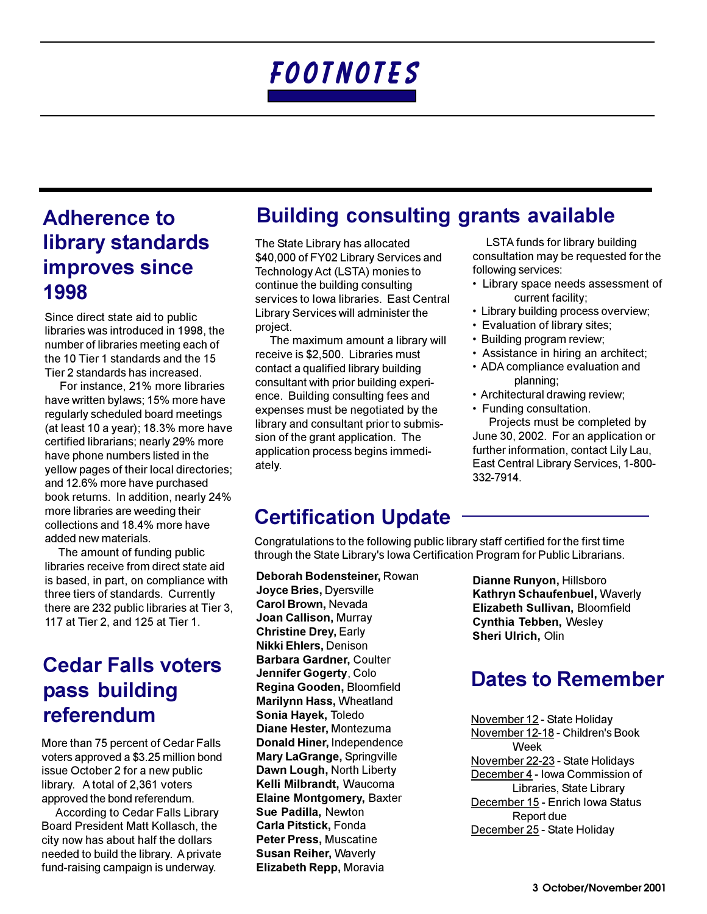# **Adherence to** library standards **improves since** 1998

Since direct state aid to public libraries was introduced in 1998, the number of libraries meeting each of the 10 Tier 1 standards and the 15 Tier 2 standards has increased.

For instance, 21% more libraries have written bylaws; 15% more have regularly scheduled board meetings (at least 10 a year); 18.3% more have certified librarians: nearly 29% more have phone numbers listed in the yellow pages of their local directories; and 12.6% more have purchased book returns. In addition, nearly 24% more libraries are weeding their collections and 18.4% more have added new materials.

The amount of funding public libraries receive from direct state aid is based, in part, on compliance with three tiers of standards. Currently there are 232 public libraries at Tier 3, 117 at Tier 2, and 125 at Tier 1.

## **Cedar Falls voters** pass building referendum

More than 75 percent of Cedar Falls voters approved a \$3.25 million bond issue October 2 for a new public library. A total of 2,361 voters approved the bond referendum.

According to Cedar Falls Library Board President Matt Kollasch, the city now has about half the dollars needed to build the library. A private fund-raising campaign is underway.

## **Building consulting grants available**

The State Library has allocated \$40,000 of FY02 Library Services and Technology Act (LSTA) monies to continue the building consulting services to Iowa libraries. East Central Library Services will administer the project.

The maximum amount a library will receive is \$2,500. Libraries must contact a qualified library building consultant with prior building experience. Building consulting fees and expenses must be negotiated by the library and consultant prior to submission of the grant application. The application process begins immediately.

LSTA funds for library building consultation may be requested for the following services:

- Library space needs assessment of current facility;
- Library building process overview;
- Evaluation of library sites;
- Building program review;
- Assistance in hiring an architect;
- ADA compliance evaluation and planning;
- Architectural drawing review;
- Funding consultation.

Projects must be completed by June 30, 2002. For an application or further information, contact Lily Lau, East Central Library Services, 1-800-332-7914.

# **Certification Update**

Congratulations to the following public library staff certified for the first time through the State Library's lowa Certification Program for Public Librarians.

Deborah Bodensteiner, Rowan Joyce Bries, Dyersville Carol Brown, Nevada Joan Callison, Murray **Christine Drey, Early Nikki Ehlers, Denison** Barbara Gardner, Coulter Jennifer Gogerty, Colo Regina Gooden, Bloomfield **Marilynn Hass, Wheatland** Sonia Hayek, Toledo Diane Hester, Montezuma Donald Hiner, Independence Mary LaGrange, Springville Dawn Lough, North Liberty Kelli Milbrandt, Waucoma **Elaine Montgomery, Baxter** Sue Padilla, Newton **Carla Pitstick, Fonda Peter Press, Muscatine Susan Reiher, Waverly** Elizabeth Repp, Moravia

Dianne Runyon, Hillsboro Kathryn Schaufenbuel, Waverly Elizabeth Sullivan, Bloomfield Cynthia Tebben, Wesley Sheri Ulrich, Olin

# **Dates to Remember**

November 12 - State Holiday November 12-18 - Children's Book Week November 22-23 - State Holidays December 4 - Iowa Commission of Libraries, State Library December 15 - Enrich Iowa Status Report due December 25 - State Holiday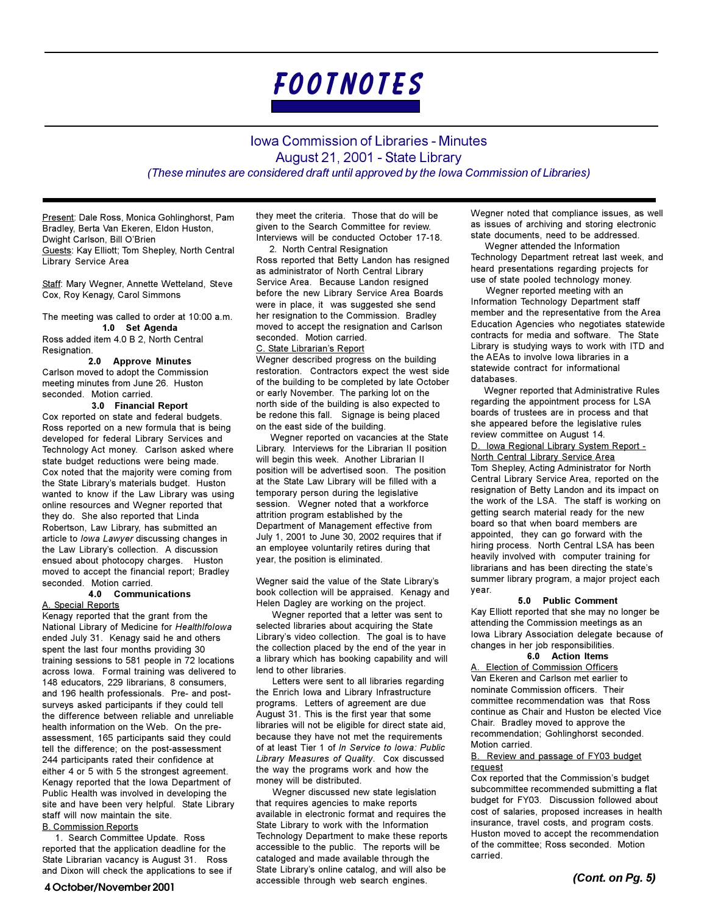

## **Iowa Commission of Libraries - Minutes** August 21, 2001 - State Library (These minutes are considered draft until approved by the lowa Commission of Libraries)

Present: Dale Ross, Monica Gohlinghorst, Pam Bradley, Berta Van Ekeren, Eldon Huston, Dwight Carlson, Bill O'Brien Guests: Kay Elliott; Tom Shepley, North Central Library Service Area

Staff: Mary Wegner, Annette Wetteland, Steve Cox, Roy Kenagy, Carol Simmons

The meeting was called to order at 10:00 a.m.

#### 1.0 Set Agenda Ross added item 4.0 B 2, North Central Resignation.

#### **Approve Minutes**  $2.0$

Carlson moved to adopt the Commission meeting minutes from June 26. Huston seconded. Motion carried.

#### 3.0 Financial Report Cox reported on state and federal budgets. Ross reported on a new formula that is being developed for federal Library Services and Technology Act money. Carlson asked where state budget reductions were being made. Cox noted that the majority were coming from the State Library's materials budget. Huston wanted to know if the Law Library was using online resources and Wegner reported that they do. She also reported that Linda Robertson, Law Library, has submitted an article to lowa Lawyer discussing changes in the Law Library's collection. A discussion ensued about photocopy charges. Huston moved to accept the financial report; Bradley

### seconded. Motion carried. 4.0 Communications

A. Special Reports Kenagy reported that the grant from the National Library of Medicine for Healthlfolowa ended July 31. Kenagy said he and others spent the last four months providing 30 training sessions to 581 people in 72 locations across lowa. Formal training was delivered to 148 educators, 229 librarians, 8 consumers, and 196 health professionals. Pre- and postsurveys asked participants if they could tell the difference between reliable and unreliable health information on the Web. On the preassessment, 165 participants said they could tell the difference; on the post-assessment 244 participants rated their confidence at either 4 or 5 with 5 the strongest agreement. Kenagy reported that the lowa Department of Public Health was involved in developing the site and have been very helpful. State Library staff will now maintain the site.

#### **B. Commission Reports**

1. Search Committee Update. Ross reported that the application deadline for the State Librarian vacancy is August 31. Ross and Dixon will check the applications to see if they meet the criteria. Those that do will be given to the Search Committee for review. Interviews will be conducted October 17-18.

2. North Central Resignation Ross reported that Betty Landon has resigned as administrator of North Central Library Service Area. Because Landon resigned before the new Library Service Area Boards were in place, it was suggested she send her resignation to the Commission. Bradley moved to accept the resignation and Carlson seconded. Motion carried.

#### C. State Librarian's Report

Wegner described progress on the building restoration. Contractors expect the west side of the building to be completed by late October or early November. The parking lot on the north side of the building is also expected to be redone this fall. Signage is being placed on the east side of the building.

Wegner reported on vacancies at the State Library. Interviews for the Librarian II position will begin this week. Another Librarian II position will be advertised soon. The position at the State Law Library will be filled with a temporary person during the legislative session. Wegner noted that a workforce attrition program established by the Department of Management effective from July 1, 2001 to June 30, 2002 requires that if an employee voluntarily retires during that year, the position is eliminated.

Wegner said the value of the State Library's book collection will be appraised. Kenagy and Helen Dagley are working on the project.

Wegner reported that a letter was sent to selected libraries about acquiring the State Library's video collection. The goal is to have the collection placed by the end of the year in a library which has booking capability and will lend to other libraries.

Letters were sent to all libraries regarding the Enrich lowa and Library Infrastructure programs. Letters of agreement are due August 31. This is the first year that some libraries will not be eligible for direct state aid, because they have not met the requirements of at least Tier 1 of In Service to Iowa: Public Library Measures of Quality. Cox discussed the way the programs work and how the money will be distributed.

Wegner discussed new state legislation that requires agencies to make reports available in electronic format and requires the State Library to work with the Information Technology Department to make these reports accessible to the public. The reports will be cataloged and made available through the State Library's online catalog, and will also be accessible through web search engines.

Wegner noted that compliance issues, as well as issues of archiving and storing electronic state documents, need to be addressed.

Wegner attended the Information Technology Department retreat last week, and heard presentations regarding projects for use of state pooled technology money.

Wegner reported meeting with an Information Technology Department staff member and the representative from the Area Education Agencies who negotiates statewide contracts for media and software. The State Library is studying ways to work with ITD and the AEAs to involve lowa libraries in a statewide contract for informational datahases

Weaner reported that Administrative Rules regarding the appointment process for LSA boards of trustees are in process and that she appeared before the legislative rules review committee on August 14.

D. Iowa Regional Library System Report -North Central Library Service Area Tom Shepley, Acting Administrator for North Central Library Service Area, reported on the resignation of Betty Landon and its impact on the work of the LSA. The staff is working on getting search material ready for the new board so that when board members are appointed, they can go forward with the hiring process. North Central LSA has been heavily involved with computer training for librarians and has been directing the state's summer library program, a major project each year.

#### 5.0 Public Comment

Kay Elliott reported that she may no longer be attending the Commission meetings as an lowa Library Association delegate because of changes in her job responsibilities.

#### 6.0 Action Items

A. Election of Commission Officers Van Ekeren and Carlson met earlier to nominate Commission officers. Their committee recommendation was that Ross continue as Chair and Huston be elected Vice Chair. Bradley moved to approve the recommendation; Gohlinghorst seconded. Motion carried.

#### B. Review and passage of FY03 budget reauest

Cox reported that the Commission's budget subcommittee recommended submitting a flat budget for FY03. Discussion followed about cost of salaries, proposed increases in health insurance, travel costs, and program costs. Huston moved to accept the recommendation of the committee; Ross seconded. Motion carried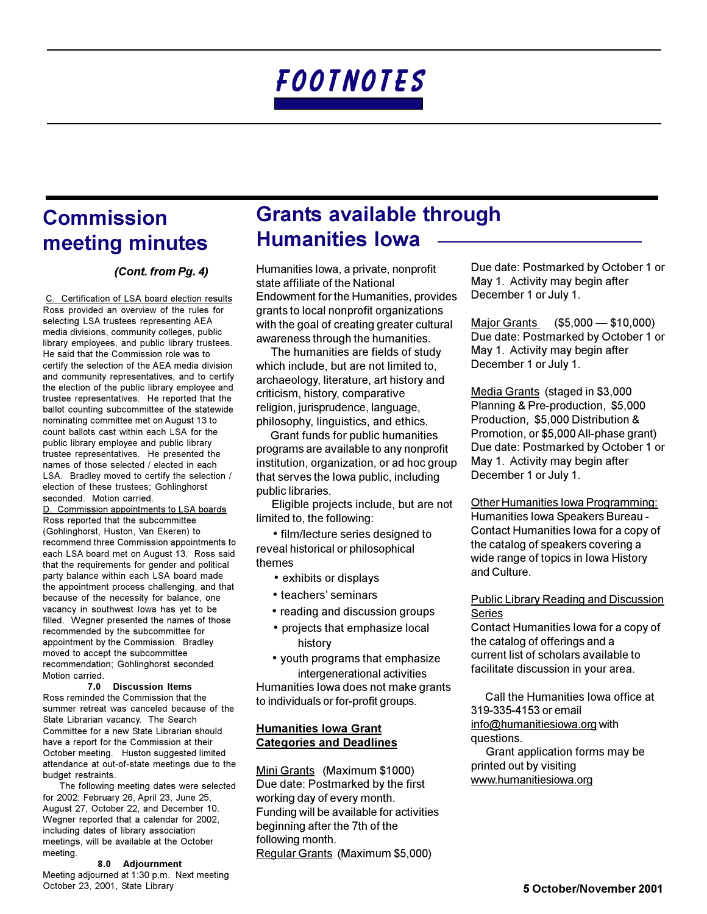## **Commission** meeting minutes

### (Cont. from Pg. 4)

C. Certification of LSA board election results Ross provided an overview of the rules for selecting LSA trustees representing AEA media divisions, community colleges, public library employees, and public library trustees. He said that the Commission role was to certify the selection of the AEA media division and community representatives, and to certify the election of the public library employee and trustee representatives. He reported that the ballot counting subcommittee of the statewide nominating committee met on August 13 to count ballots cast within each LSA for the public library employee and public library trustee representatives. He presented the names of those selected / elected in each LSA. Bradley moved to certify the selection / election of these trustees; Gohlinghorst seconded. Motion carried.

D. Commission appointments to LSA boards Ross reported that the subcommittee (Gohlinghorst, Huston, Van Ekeren) to recommend three Commission appointments to each LSA board met on August 13. Ross said that the requirements for gender and political party balance within each LSA board made the appointment process challenging, and that because of the necessity for balance, one vacancy in southwest lowa has yet to be filled. Wegner presented the names of those recommended by the subcommittee for appointment by the Commission. Bradley moved to accept the subcommittee recommendation; Gohlinghorst seconded. Motion carried.

#### 7.0 Discussion Items

Ross reminded the Commission that the summer retreat was canceled because of the State Librarian vacancy. The Search Committee for a new State Librarian should have a report for the Commission at their October meeting. Huston suggested limited attendance at out-of-state meetings due to the budget restraints.

The following meeting dates were selected for 2002: February 26, April 23, June 25, August 27, October 22, and December 10. Wegner reported that a calendar for 2002, including dates of library association meetings, will be available at the October meeting.

8.0 Adjournment Meeting adjourned at 1:30 p.m. Next meeting October 23, 2001, State Library

## **Grants available through Humanities lowa**

Humanities Iowa, a private, nonprofit state affiliate of the National Endowment for the Humanities, provides grants to local nonprofit organizations with the goal of creating greater cultural awareness through the humanities.

The humanities are fields of study which include, but are not limited to, archaeology, literature, art history and criticism, history, comparative religion, jurisprudence, language, philosophy, linguistics, and ethics.

Grant funds for public humanities programs are available to any nonprofit institution, organization, or ad hoc group that serves the lowa public, including public libraries.

Eligible projects include, but are not limited to, the following:

• film/lecture series designed to reveal historical or philosophical themes

- exhibits or displays
- teachers' seminars
- reading and discussion groups
- projects that emphasize local history
- youth programs that emphasize intergenerational activities

Humanities lowa does not make grants to individuals or for-profit groups.

## **Humanities Iowa Grant Categories and Deadlines**

Mini Grants (Maximum \$1000) Due date: Postmarked by the first working day of every month. Funding will be available for activities beginning after the 7th of the following month. Regular Grants (Maximum \$5,000)

Due date: Postmarked by October 1 or May 1. Activity may begin after December 1 or July 1.

Major Grants (\$5,000 - \$10,000) Due date: Postmarked by October 1 or May 1. Activity may begin after December 1 or July 1.

Media Grants (staged in \$3,000 Planning & Pre-production, \$5,000 Production, \$5,000 Distribution & Promotion, or \$5,000 All-phase grant) Due date: Postmarked by October 1 or May 1. Activity may begin after December 1 or July 1.

Other Humanities Iowa Programming: Humanities Iowa Speakers Bureau -Contact Humanities lowa for a copy of the catalog of speakers covering a wide range of topics in Iowa History and Culture.

### **Public Library Reading and Discussion Series**

Contact Humanities lowa for a copy of the catalog of offerings and a current list of scholars available to facilitate discussion in your area.

Call the Humanities Iowa office at 319-335-4153 or email info@humanitiesiowa.org with questions.

Grant application forms may be printed out by visiting www.humanitiesiowa.org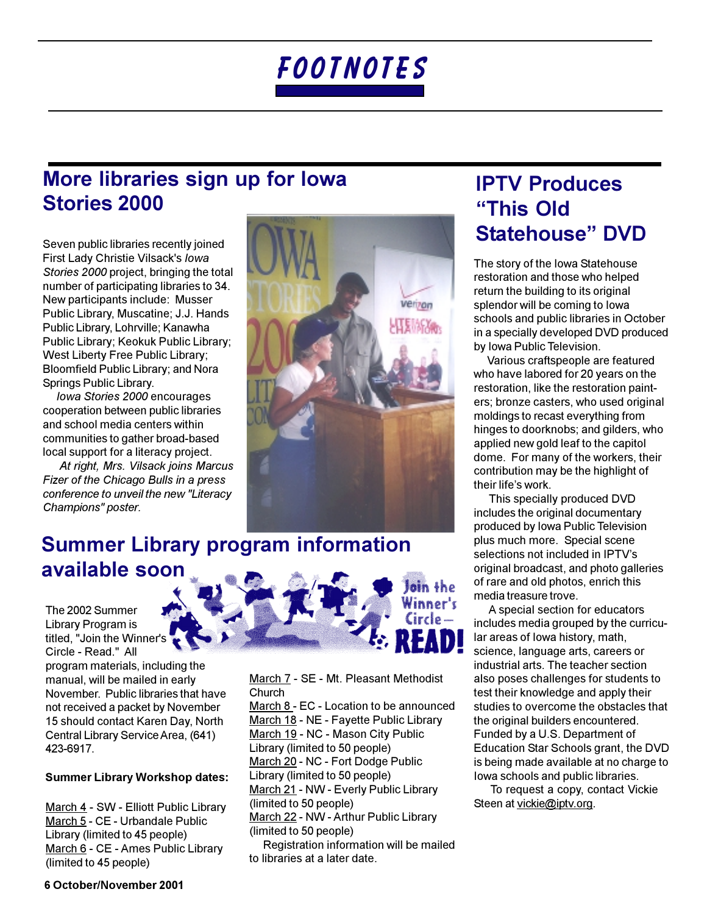# More libraries sign up for lowa **Stories 2000**

Seven public libraries recently joined First Lady Christie Vilsack's lowa Stories 2000 project, bringing the total number of participating libraries to 34. New participants include: Musser Public Library, Muscatine: J.J. Hands Public Library, Lohrville; Kanawha Public Library; Keokuk Public Library; West Liberty Free Public Library; Bloomfield Public Library; and Nora Springs Public Library.

Jowa Stories 2000 encourages cooperation between public libraries and school media centers within communities to gather broad-based local support for a literacy project.

At right, Mrs. Vilsack joins Marcus Fizer of the Chicago Bulls in a press conference to unveil the new "Literacy Champions" poster.



# **Summer Library program information** available soon

The 2002 Summer Library Program is titled, "Join the Winner's Circle - Read." All

program materials, including the manual, will be mailed in early November, Public libraries that have not received a packet by November 15 should contact Karen Day, North Central Library Service Area, (641) 423-6917.

## **Summer Library Workshop dates:**

March 4 - SW - Elliott Public Library March 5 - CE - Urbandale Public Library (limited to 45 people) March 6 - CE - Ames Public Library (limited to 45 people)



March 7 - SE - Mt. Pleasant Methodist Church

March 8 - EC - Location to be announced March 18 - NE - Fayette Public Library March 19 - NC - Mason City Public Library (limited to 50 people) March 20 - NC - Fort Dodge Public Library (limited to 50 people) March 21 - NW - Everly Public Library (limited to 50 people) March 22 - NW - Arthur Public Library (limited to 50 people)

Registration information will be mailed to libraries at a later date.

## **IPTV Produces** "This Old **Statehouse" DVD**

The story of the lowa Statehouse restoration and those who helped return the building to its original splendor will be coming to lowa schools and public libraries in October in a specially developed DVD produced by Iowa Public Television.

Various craftspeople are featured who have labored for 20 years on the restoration, like the restoration painters: bronze casters, who used original moldings to recast everything from hinges to doorknobs; and gilders, who applied new gold leaf to the capitol dome. For many of the workers, their contribution may be the highlight of their life's work.

This specially produced DVD includes the original documentary produced by Iowa Public Television plus much more. Special scene selections not included in IPTV's original broadcast, and photo galleries of rare and old photos, enrich this media treasure trove.

A special section for educators includes media grouped by the curricular areas of lowa history, math, science, language arts, careers or industrial arts. The teacher section also poses challenges for students to test their knowledge and apply their studies to overcome the obstacles that the original builders encountered. Funded by a U.S. Department of Education Star Schools grant, the DVD is being made available at no charge to lowa schools and public libraries.

To request a copy, contact Vickie Steen at vickie@iptv.org.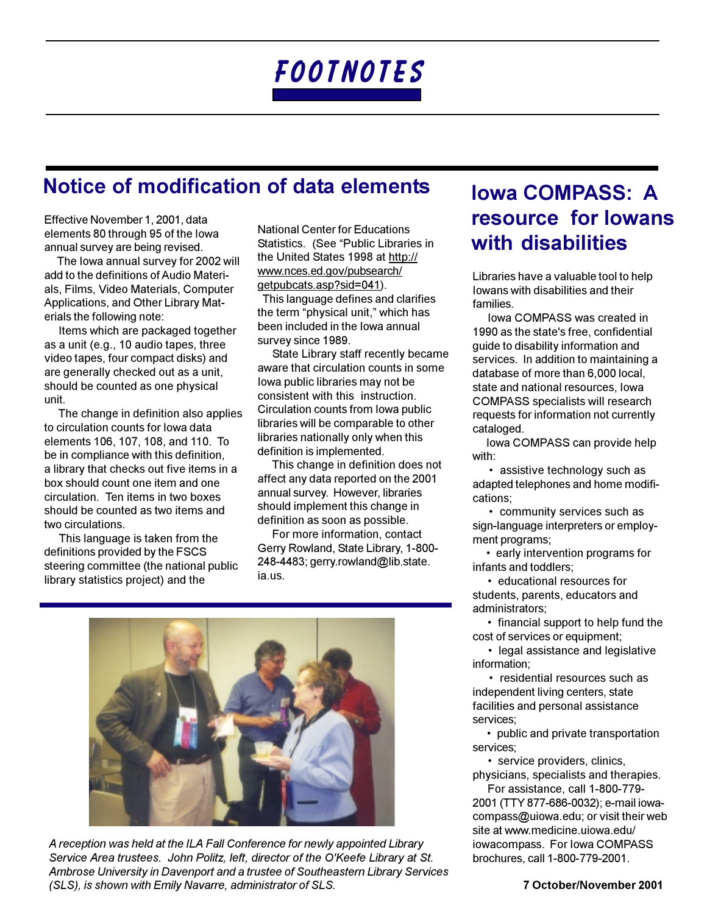## Notice of modification of data elements

Effective November 1, 2001, data elements 80 through 95 of the lowa annual survey are being revised.

The lowa annual survey for 2002 will add to the definitions of Audio Materials, Films, Video Materials, Computer Applications, and Other Library Materials the following note:

Items which are packaged together as a unit (e.g., 10 audio tapes, three video tapes, four compact disks) and are generally checked out as a unit, should be counted as one physical unit.

The change in definition also applies to circulation counts for lowa data elements 106, 107, 108, and 110. To be in compliance with this definition, a library that checks out five items in a box should count one item and one circulation. Ten items in two boxes should be counted as two items and two circulations.

This language is taken from the definitions provided by the FSCS steering committee (the national public library statistics project) and the

**National Center for Educations** Statistics. (See "Public Libraries in the United States 1998 at http:// www.nces.ed.gov/pubsearch/ getpubcats.asp?sid=041).

This language defines and clarifies the term "physical unit," which has been included in the lowa annual survey since 1989.

State Library staff recently became aware that circulation counts in some lowa public libraries may not be consistent with this instruction. Circulation counts from lowa public libraries will be comparable to other libraries nationally only when this definition is implemented.

This change in definition does not affect any data reported on the 2001 annual survey. However, libraries should implement this change in definition as soon as possible.

For more information, contact Gerry Rowland, State Library, 1-800-248-4483; gerry.rowland@lib.state. ia.us.



A reception was held at the ILA Fall Conference for newly appointed Library Service Area trustees. John Politz, left, director of the O'Keefe Library at St. Ambrose University in Davenport and a trustee of Southeastern Library Services (SLS), is shown with Emily Navarre, administrator of SLS.

# **Iowa COMPASS: A** resource for lowans with disabilities

Libraries have a valuable tool to help lowans with disabilities and their families.

Iowa COMPASS was created in 1990 as the state's free, confidential guide to disability information and services. In addition to maintaining a database of more than 6,000 local, state and national resources. lowa **COMPASS specialists will research** requests for information not currently cataloged.

lowa COMPASS can provide help with:

· assistive technology such as adapted telephones and home modifications:

• community services such as sign-language interpreters or employment programs;

• early intervention programs for infants and toddlers:

• educational resources for students, parents, educators and administrators;

• financial support to help fund the cost of services or equipment:

• legal assistance and legislative information:

• residential resources such as independent living centers, state facilities and personal assistance services:

• public and private transportation services:

· service providers, clinics, physicians, specialists and therapies.

For assistance, call 1-800-779-2001 (TTY 877-686-0032); e-mail iowacompass@ujowa.edu: or visit their web site at www.medicine.uiowa.edu/ iowacompass. For lowa COMPASS brochures, call 1-800-779-2001.